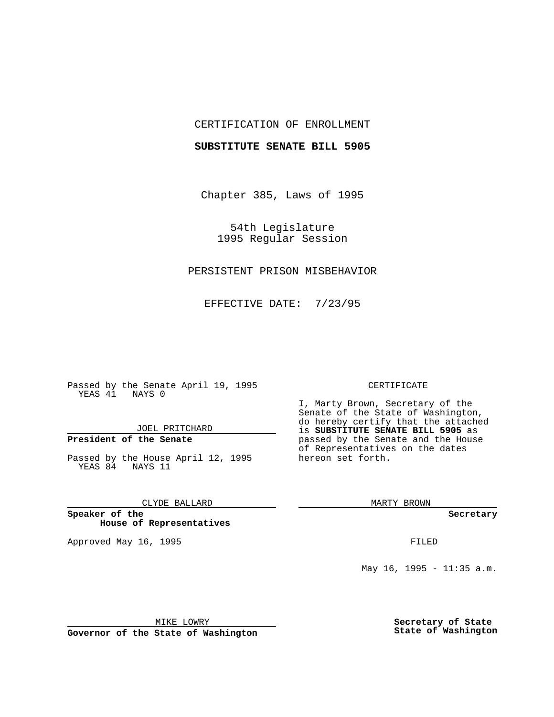## CERTIFICATION OF ENROLLMENT

### **SUBSTITUTE SENATE BILL 5905**

Chapter 385, Laws of 1995

54th Legislature 1995 Regular Session

## PERSISTENT PRISON MISBEHAVIOR

EFFECTIVE DATE: 7/23/95

Passed by the Senate April 19, 1995 YEAS 41 NAYS 0

JOEL PRITCHARD

# **President of the Senate**

Passed by the House April 12, 1995 YEAS 84 NAYS 11

CLYDE BALLARD

**Speaker of the House of Representatives**

Approved May 16, 1995 FILED

#### CERTIFICATE

I, Marty Brown, Secretary of the Senate of the State of Washington, do hereby certify that the attached is **SUBSTITUTE SENATE BILL 5905** as passed by the Senate and the House of Representatives on the dates hereon set forth.

MARTY BROWN

**Secretary**

May 16, 1995 - 11:35 a.m.

MIKE LOWRY

**Governor of the State of Washington**

**Secretary of State State of Washington**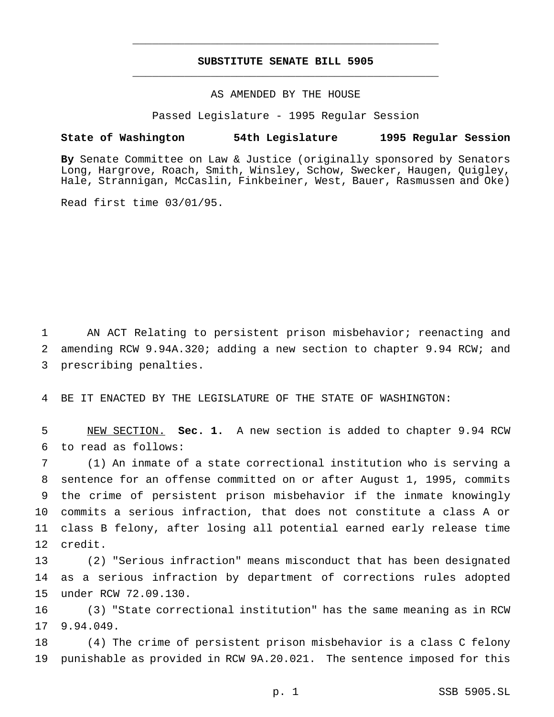# **SUBSTITUTE SENATE BILL 5905** \_\_\_\_\_\_\_\_\_\_\_\_\_\_\_\_\_\_\_\_\_\_\_\_\_\_\_\_\_\_\_\_\_\_\_\_\_\_\_\_\_\_\_\_\_\_\_

\_\_\_\_\_\_\_\_\_\_\_\_\_\_\_\_\_\_\_\_\_\_\_\_\_\_\_\_\_\_\_\_\_\_\_\_\_\_\_\_\_\_\_\_\_\_\_

## AS AMENDED BY THE HOUSE

Passed Legislature - 1995 Regular Session

### **State of Washington 54th Legislature 1995 Regular Session**

**By** Senate Committee on Law & Justice (originally sponsored by Senators Long, Hargrove, Roach, Smith, Winsley, Schow, Swecker, Haugen, Quigley, Hale, Strannigan, McCaslin, Finkbeiner, West, Bauer, Rasmussen and Oke)

Read first time 03/01/95.

 AN ACT Relating to persistent prison misbehavior; reenacting and amending RCW 9.94A.320; adding a new section to chapter 9.94 RCW; and prescribing penalties.

BE IT ENACTED BY THE LEGISLATURE OF THE STATE OF WASHINGTON:

 NEW SECTION. **Sec. 1.** A new section is added to chapter 9.94 RCW to read as follows:

 (1) An inmate of a state correctional institution who is serving a sentence for an offense committed on or after August 1, 1995, commits the crime of persistent prison misbehavior if the inmate knowingly commits a serious infraction, that does not constitute a class A or class B felony, after losing all potential earned early release time credit.

 (2) "Serious infraction" means misconduct that has been designated as a serious infraction by department of corrections rules adopted under RCW 72.09.130.

 (3) "State correctional institution" has the same meaning as in RCW 9.94.049.

 (4) The crime of persistent prison misbehavior is a class C felony punishable as provided in RCW 9A.20.021. The sentence imposed for this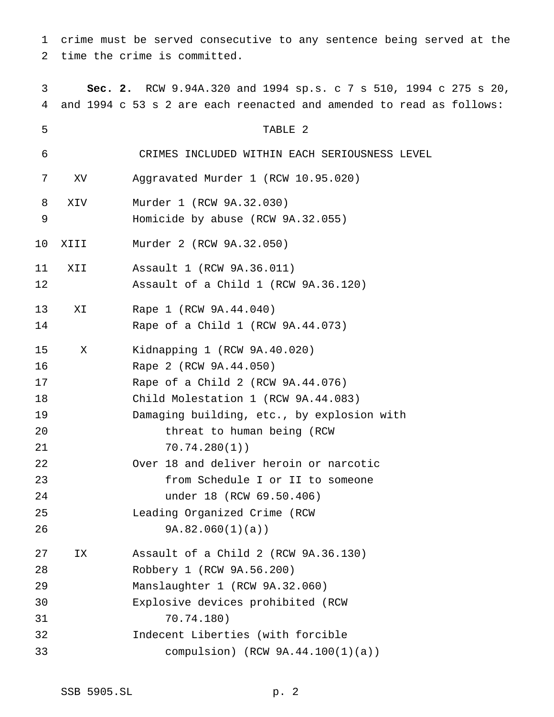crime must be served consecutive to any sentence being served at the time the crime is committed.

 **Sec. 2.** RCW 9.94A.320 and 1994 sp.s.c7s 510, 1994 c 275 s 20, and 1994 c 53 s 2 are each reenacted and amended to read as follows: TABLE 2 CRIMES INCLUDED WITHIN EACH SERIOUSNESS LEVEL XV Aggravated Murder 1 (RCW 10.95.020) XIV Murder 1 (RCW 9A.32.030) Homicide by abuse (RCW 9A.32.055) XIII Murder 2 (RCW 9A.32.050) XII Assault 1 (RCW 9A.36.011) Assault of a Child 1 (RCW 9A.36.120) XI Rape 1 (RCW 9A.44.040) Rape of a Child 1 (RCW 9A.44.073) X Kidnapping 1 (RCW 9A.40.020) Rape 2 (RCW 9A.44.050) Rape of a Child 2 (RCW 9A.44.076) Child Molestation 1 (RCW 9A.44.083) Damaging building, etc., by explosion with 20 threat to human being (RCW 70.74.280(1)) Over 18 and deliver heroin or narcotic from Schedule I or II to someone under 18 (RCW 69.50.406) Leading Organized Crime (RCW 9A.82.060(1)(a)) IX Assault of a Child 2 (RCW 9A.36.130) Robbery 1 (RCW 9A.56.200) Manslaughter 1 (RCW 9A.32.060) Explosive devices prohibited (RCW 70.74.180) Indecent Liberties (with forcible compulsion) (RCW 9A.44.100(1)(a))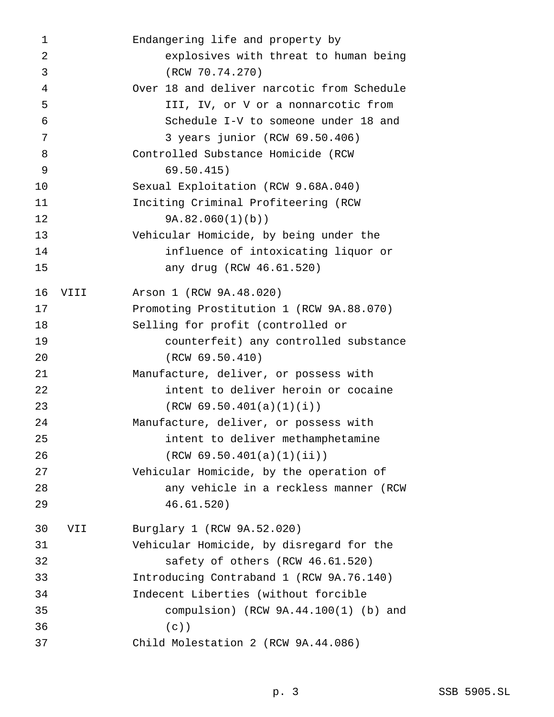| 1              |      | Endangering life and property by           |
|----------------|------|--------------------------------------------|
| $\overline{2}$ |      | explosives with threat to human being      |
| 3              |      | (RCW 70.74.270)                            |
| 4              |      | Over 18 and deliver narcotic from Schedule |
| 5              |      | III, IV, or V or a nonnarcotic from        |
| 6              |      | Schedule I-V to someone under 18 and       |
| 7              |      | 3 years junior (RCW 69.50.406)             |
| 8              |      | Controlled Substance Homicide (RCW         |
| 9              |      | 69.50.415)                                 |
| 10             |      | Sexual Exploitation (RCW 9.68A.040)        |
| 11             |      | Inciting Criminal Profiteering (RCW        |
| 12             |      | 9A.82.060(1)(b)                            |
| 13             |      | Vehicular Homicide, by being under the     |
| 14             |      | influence of intoxicating liquor or        |
| 15             |      | any drug (RCW 46.61.520)                   |
| 16             | VIII | Arson 1 (RCW 9A.48.020)                    |
| 17             |      | Promoting Prostitution 1 (RCW 9A.88.070)   |
| 18             |      | Selling for profit (controlled or          |
| 19             |      | counterfeit) any controlled substance      |
| 20             |      | (RCW 69.50.410)                            |
| 21             |      | Manufacture, deliver, or possess with      |
| 22             |      | intent to deliver heroin or cocaine        |
| 23             |      | (RCW 69.50.401(a)(1)(i))                   |
| 24             |      | Manufacture, deliver, or possess with      |
| 25             |      | intent to deliver methamphetamine          |
| 26             |      | (RCW 69.50.401(a)(1)(ii))                  |
| 27             |      | Vehicular Homicide, by the operation of    |
| 28             |      | any vehicle in a reckless manner (RCW      |
| 29             |      | 46.61.520)                                 |
| 30             | VII  | Burglary 1 (RCW 9A.52.020)                 |
| 31             |      | Vehicular Homicide, by disregard for the   |
| 32             |      | safety of others (RCW 46.61.520)           |
| 33             |      | Introducing Contraband 1 (RCW 9A.76.140)   |
| 34             |      | Indecent Liberties (without forcible       |
| 35             |      | compulsion) (RCW $9A.44.100(1)$ (b) and    |
| 36             |      | $(c)$ )                                    |
| 37             |      | Child Molestation 2 (RCW 9A.44.086)        |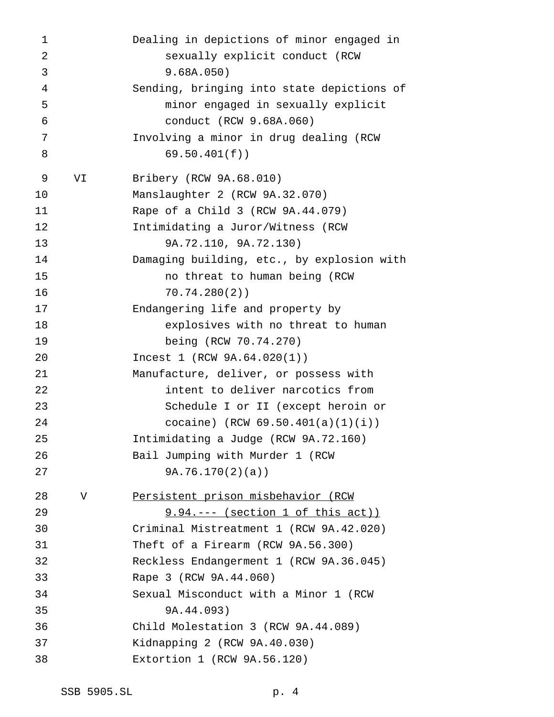| $\mathbf 1$    |    | Dealing in depictions of minor engaged in  |
|----------------|----|--------------------------------------------|
| 2              |    | sexually explicit conduct (RCW             |
| 3              |    | 9.68A.050)                                 |
| $\overline{4}$ |    | Sending, bringing into state depictions of |
| 5              |    | minor engaged in sexually explicit         |
| 6              |    | conduct (RCW 9.68A.060)                    |
| 7              |    | Involving a minor in drug dealing (RCW     |
| 8              |    | 69.50.401(f)                               |
| 9              | VI | Bribery (RCW 9A.68.010)                    |
| 10             |    | Manslaughter 2 (RCW 9A.32.070)             |
| 11             |    | Rape of a Child 3 (RCW 9A.44.079)          |
| 12             |    | Intimidating a Juror/Witness (RCW          |
| 13             |    | 9A.72.110, 9A.72.130)                      |
| 14             |    | Damaging building, etc., by explosion with |
| 15             |    | no threat to human being (RCW              |
| 16             |    | 70.74.280(2)                               |
| 17             |    | Endangering life and property by           |
| 18             |    | explosives with no threat to human         |
| 19             |    | being (RCW 70.74.270)                      |
| 20             |    | Incest 1 (RCW 9A.64.020(1))                |
| 21             |    | Manufacture, deliver, or possess with      |
| 22             |    | intent to deliver narcotics from           |
| 23             |    | Schedule I or II (except heroin or         |
| 24             |    | cocaine) (RCW $69.50.401(a)(1)(i)$ )       |
| 25             |    | Intimidating a Judge (RCW 9A.72.160)       |
| 26             |    | Bail Jumping with Murder 1 (RCW            |
| 27             |    | 9A.76.170(2)(a)                            |
| 28             | V  | Persistent prison misbehavior (RCW         |
| 29             |    | $9.94. -- - (section 1 of this act)$       |
| 30             |    | Criminal Mistreatment 1 (RCW 9A.42.020)    |
| 31             |    | Theft of a Firearm (RCW 9A.56.300)         |
| 32             |    | Reckless Endangerment 1 (RCW 9A.36.045)    |
| 33             |    | Rape 3 (RCW 9A.44.060)                     |
| 34             |    | Sexual Misconduct with a Minor 1 (RCW      |
| 35             |    | 9A.44.093)                                 |
| 36             |    | Child Molestation 3 (RCW 9A.44.089)        |
| 37             |    | Kidnapping 2 (RCW 9A.40.030)               |
| 38             |    | Extortion 1 (RCW 9A.56.120)                |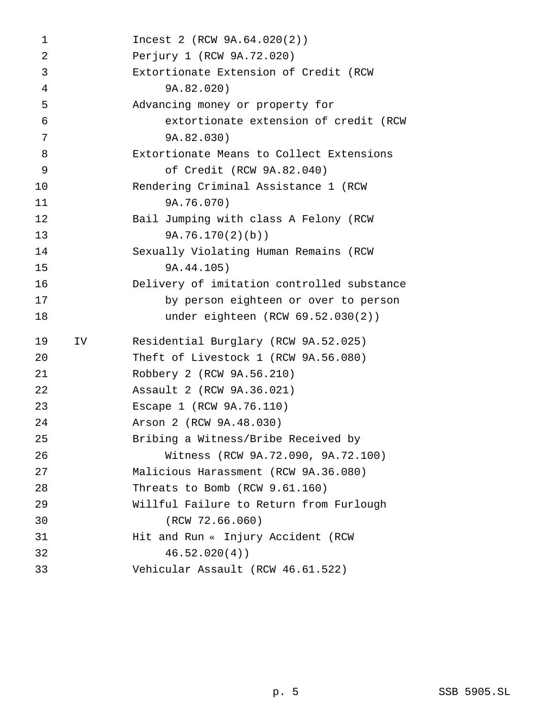| 1              |     | Incest 2 (RCW 9A.64.020(2))                |
|----------------|-----|--------------------------------------------|
| $\overline{2}$ |     | Perjury 1 (RCW 9A.72.020)                  |
| 3              |     | Extortionate Extension of Credit (RCW      |
| 4              |     | 9A.82.020)                                 |
| 5              |     | Advancing money or property for            |
| 6              |     | extortionate extension of credit (RCW      |
| 7              |     | 9A.82.030)                                 |
| 8              |     | Extortionate Means to Collect Extensions   |
| 9              |     | of Credit (RCW 9A.82.040)                  |
| 10             |     | Rendering Criminal Assistance 1 (RCW       |
| 11             |     | 9A.76.070)                                 |
| 12             |     | Bail Jumping with class A Felony (RCW      |
| 13             |     | 9A.76.170(2)(b)                            |
| 14             |     | Sexually Violating Human Remains (RCW      |
| 15             |     | 9A.44.105)                                 |
| 16             |     | Delivery of imitation controlled substance |
| 17             |     | by person eighteen or over to person       |
| 18             |     | under eighteen (RCW 69.52.030(2))          |
| 19             | IV. | Residential Burglary (RCW 9A.52.025)       |
| 20             |     | Theft of Livestock 1 (RCW 9A.56.080)       |
| 21             |     | Robbery 2 (RCW 9A.56.210)                  |
| 22             |     | Assault 2 (RCW 9A.36.021)                  |
| 23             |     | Escape 1 (RCW 9A.76.110)                   |
| 24             |     | Arson 2 (RCW 9A.48.030)                    |
| 25             |     | Bribing a Witness/Bribe Received by        |
| 26             |     | Witness (RCW 9A.72.090, 9A.72.100)         |
| 27             |     | Malicious Harassment (RCW 9A.36.080)       |
| 28             |     | Threats to Bomb (RCW 9.61.160)             |
| 29             |     | Willful Failure to Return from Furlough    |
| 30             |     | (RCW 72.66.060)                            |
| 31             |     | Hit and Run « Injury Accident (RCW         |
| 32             |     | 46.52.020(4)                               |
| 33             |     | Vehicular Assault (RCW 46.61.522)          |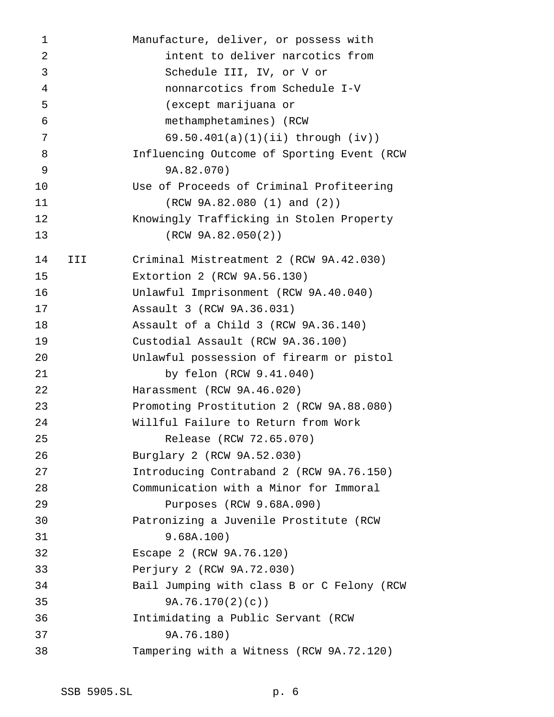| 1              |     | Manufacture, deliver, or possess with      |
|----------------|-----|--------------------------------------------|
| $\overline{2}$ |     | intent to deliver narcotics from           |
| 3              |     | Schedule III, IV, or V or                  |
| 4              |     | nonnarcotics from Schedule I-V             |
| 5              |     | (except marijuana or                       |
| 6              |     | methamphetamines) (RCW                     |
| 7              |     | $69.50.401(a)(1)(ii)$ through $(iv)$ )     |
| 8              |     | Influencing Outcome of Sporting Event (RCW |
| 9              |     | 9A.82.070)                                 |
| 10             |     | Use of Proceeds of Criminal Profiteering   |
| 11             |     | (RCW 9A.82.080 (1) and (2))                |
| 12             |     | Knowingly Trafficking in Stolen Property   |
| 13             |     | (RCW 9A.82.050(2))                         |
| 14             | III | Criminal Mistreatment 2 (RCW 9A.42.030)    |
| 15             |     | Extortion 2 (RCW 9A.56.130)                |
| 16             |     | Unlawful Imprisonment (RCW 9A.40.040)      |
| 17             |     | Assault 3 (RCW 9A.36.031)                  |
| 18             |     | Assault of a Child 3 (RCW 9A.36.140)       |
| 19             |     | Custodial Assault (RCW 9A.36.100)          |
| 20             |     | Unlawful possession of firearm or pistol   |
| 21             |     | by felon (RCW 9.41.040)                    |
| 22             |     | Harassment (RCW 9A.46.020)                 |
| 23             |     | Promoting Prostitution 2 (RCW 9A.88.080)   |
| 24             |     | Willful Failure to Return from Work        |
| 25             |     | Release (RCW 72.65.070)                    |
| 26             |     | Burglary 2 (RCW 9A.52.030)                 |
| 27             |     | Introducing Contraband 2 (RCW 9A.76.150)   |
| 28             |     | Communication with a Minor for Immoral     |
| 29             |     | Purposes (RCW 9.68A.090)                   |
| 30             |     | Patronizing a Juvenile Prostitute (RCW     |
| 31             |     | 9.68A.100)                                 |
| 32             |     | Escape 2 (RCW 9A.76.120)                   |
| 33             |     | Perjury 2 (RCW 9A.72.030)                  |
| 34             |     | Bail Jumping with class B or C Felony (RCW |
| 35             |     | 9A.76.170(2)(c)                            |
| 36             |     | Intimidating a Public Servant (RCW         |
| 37             |     | 9A.76.180)                                 |
| 38             |     | Tampering with a Witness (RCW 9A.72.120)   |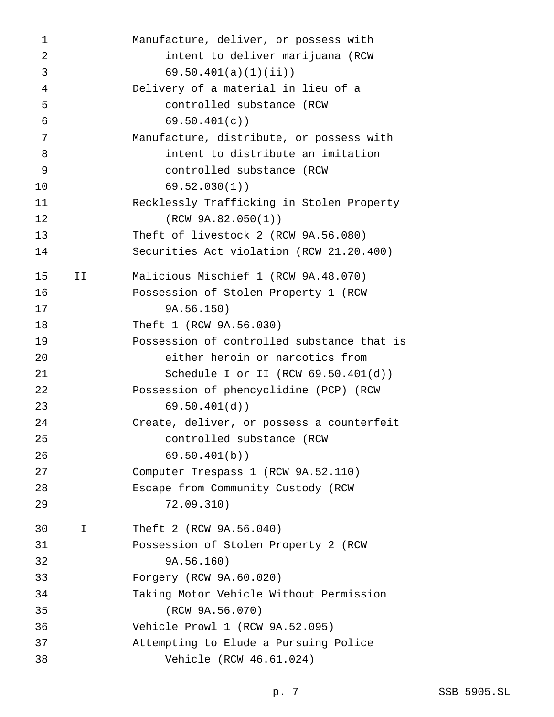|    | Manufacture, deliver, or possess with      |
|----|--------------------------------------------|
|    | intent to deliver marijuana (RCW           |
|    | 69.50.401(a)(1)(ii)                        |
|    | Delivery of a material in lieu of a        |
|    | controlled substance (RCW                  |
|    | 69.50.401(c)                               |
|    | Manufacture, distribute, or possess with   |
|    | intent to distribute an imitation          |
|    | controlled substance (RCW                  |
|    | 69.52.030(1)                               |
|    | Recklessly Trafficking in Stolen Property  |
|    | (RCW 9A.82.050(1))                         |
|    | Theft of livestock 2 (RCW 9A.56.080)       |
|    | Securities Act violation (RCW 21.20.400)   |
| IJ | Malicious Mischief 1 (RCW 9A.48.070)       |
|    | Possession of Stolen Property 1 (RCW       |
|    | 9A.56.150)                                 |
|    | Theft 1 (RCW 9A.56.030)                    |
|    | Possession of controlled substance that is |
|    | either heroin or narcotics from            |
|    | Schedule I or II (RCW $69.50.401(d)$ )     |
|    | Possession of phencyclidine (PCP) (RCW     |
|    | 69.50.401(d)                               |
|    | Create, deliver, or possess a counterfeit  |
|    | controlled substance (RCW                  |
|    | 69.50.401(b)                               |
|    | Computer Trespass 1 (RCW 9A.52.110)        |
|    | Escape from Community Custody (RCW         |
|    | 72.09.310)                                 |
| I. | Theft 2 (RCW 9A.56.040)                    |
|    | Possession of Stolen Property 2 (RCW       |
|    | 9A.56.160)                                 |
|    | Forgery (RCW 9A.60.020)                    |
|    | Taking Motor Vehicle Without Permission    |
|    | (RCW 9A.56.070)                            |
|    | Vehicle Prowl 1 (RCW 9A.52.095)            |
|    | Attempting to Elude a Pursuing Police      |
|    | Vehicle (RCW 46.61.024)                    |
|    |                                            |